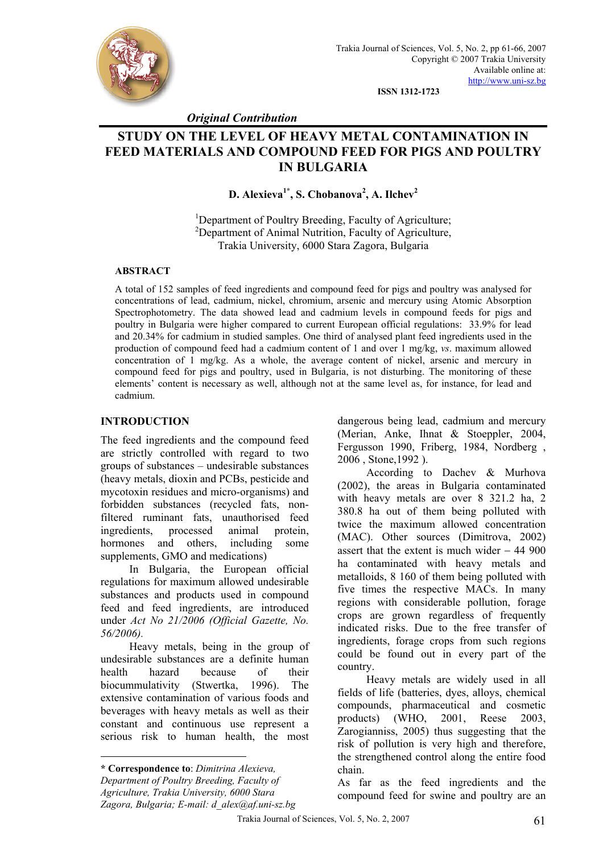

**ISSN 1312-1723** 

*Original Contribution* 

# **STUDY ON THE LEVEL OF HEAVY METAL CONTAMINATION IN FEED MATERIALS AND COMPOUND FEED FOR PIGS AND POULTRY IN BULGARIA**

**D. Alexieva1\*, S. Chobanova2 , A. Ilchev<sup>2</sup>**

<sup>1</sup>Department of Poultry Breeding, Faculty of Agriculture; <sup>2</sup>Department of Animal Nutrition, Faculty of Agriculture, Trakia University, 6000 Stara Zagora, Bulgaria

#### **ABSTRACT**

A total of 152 samples of feed ingredients and compound feed for pigs and poultry was analysed for concentrations of lead, cadmium, nickel, chromium, arsenic and mercury using Atomic Absorption Spectrophotometry. The data showed lead and cadmium levels in compound feeds for pigs and poultry in Bulgaria were higher compared to current European official regulations: 33.9% for lead and 20.34% for cadmium in studied samples. One third of analysed plant feed ingredients used in the production of compound feed had a cadmium content of 1 and over 1 mg/kg, *vs*. maximum allowed concentration of 1 mg/kg. As a whole, the average content of nickel, arsenic and mercury in compound feed for pigs and poultry, used in Bulgaria, is not disturbing. The monitoring of these elements' content is necessary as well, although not at the same level as, for instance, for lead and cadmium.

### **INTRODUCTION**

The feed ingredients and the compound feed are strictly controlled with regard to two groups of substances – undesirable substances (heavy metals, dioxin and PCBs, pesticide and mycotoxin residues and micro-organisms) and forbidden substances (recycled fats, nonfiltered ruminant fats, unauthorised feed ingredients, processed animal protein, hormones and others, including some supplements, GMO and medications).

In Bulgaria, the European official regulations for maximum allowed undesirable substances and products used in compound feed and feed ingredients, are introduced under *Act No 21/2006 (Official Gazette, No. 56/2006).*

Heavy metals, being in the group of undesirable substances are a definite human health hazard because of their biocummulativity (Stwertka, 1996). The extensive contamination of various foods and beverages with heavy metals as well as their constant and continuous use represent a serious risk to human health, the most

 $\overline{a}$ 

dangerous being lead, cadmium and mercury (Merian, Anke, Ihnat & Stoeppler, 2004, Fergusson 1990, Friberg, 1984, Nordberg , 2006 , Stone,1992 ).

According to Dachev & Murhova (2002), the areas in Bulgaria contaminated with heavy metals are over 8 321.2 ha, 2 380.8 ha out of them being polluted with twice the maximum allowed concentration (MAC). Other sources (Dimitrova, 2002) assert that the extent is much wider − 44 900 ha contaminated with heavy metals and metalloids, 8 160 of them being polluted with five times the respective MACs. In many regions with considerable pollution, forage crops are grown regardless of frequently indicated risks. Due to the free transfer of ingredients, forage crops from such regions could be found out in every part of the country.

Heavy metals are widely used in all fields of life (batteries, dyes, alloys, chemical compounds, pharmaceutical and cosmetic products) (WHO, 2001, Reese 2003, Zarogianniss, 2005) thus suggesting that the risk of pollution is very high and therefore, the strengthened control along the entire food chain.

As far as the feed ingredients and the compound feed for swine and poultry are an

**<sup>\*</sup> Correspondence to**: *Dimitrina Alexieva, Department of Poultry Breeding, Faculty of Agriculture, Trakia University, 6000 Stara Zagora, Bulgaria; E-mail: d\_alex@af.uni-sz.bg*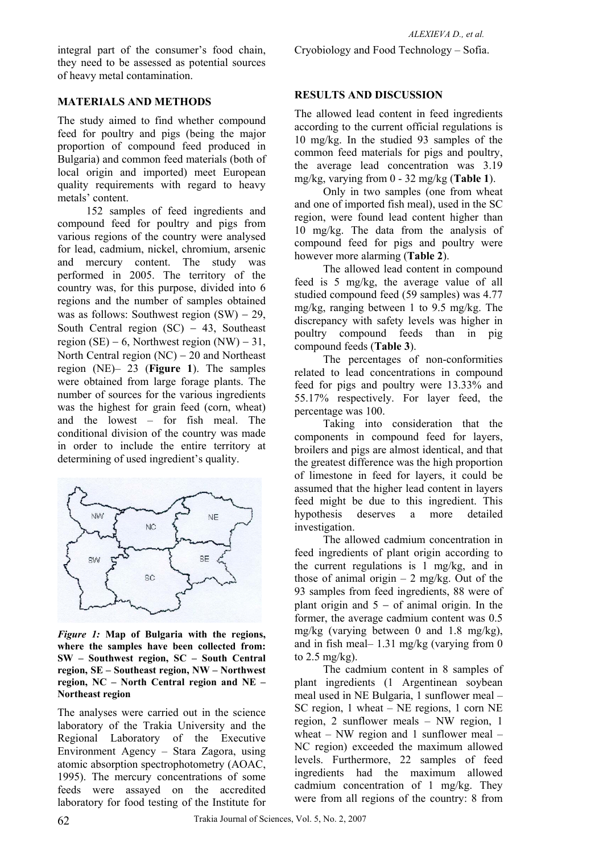integral part of the consumer's food chain, they need to be assessed as potential sources of heavy metal contamination.

## **MATERIALS AND METHODS**

The study aimed to find whether compound feed for poultry and pigs (being the major proportion of compound feed produced in Bulgaria) and common feed materials (both of local origin and imported) meet European quality requirements with regard to heavy metals' content.

152 samples of feed ingredients and compound feed for poultry and pigs from various regions of the country were analysed for lead, cadmium, nickel, chromium, arsenic and mercury content. The study was performed in 2005. The territory of the country was, for this purpose, divided into 6 regions and the number of samples obtained was as follows: Southwest region  $(SW) - 29$ , South Central region  $(SC) - 43$ , Southeast region (SE) – 6, Northwest region (NW) – 31, North Central region (NC) − 20 and Northeast region (NE)– 23 (**Figure 1**). The samples were obtained from large forage plants. The number of sources for the various ingredients was the highest for grain feed (corn, wheat) and the lowest – for fish meal. The conditional division of the country was made in order to include the entire territory at determining of used ingredient's quality.



*Figure 1:* **Map of Bulgaria with the regions, where the samples have been collected from: SW – Southwest region, SC – South Central region, SE – Southeast region, NW – Northwest region, NC – North Central region and NE – Northeast region**

The analyses were carried out in the science laboratory of the Trakia University and the Regional Laboratory of the Executive Environment Agency – Stara Zagora, using atomic absorption spectrophotometry (AOAC, 1995). The mercury concentrations of some feeds were assayed on the accredited laboratory for food testing of the Institute for

## **RESULTS AND DISCUSSION**

The allowed lead content in feed ingredients according to the current official regulations is 10 mg/kg. In the studied 93 samples of the common feed materials for pigs and poultry, the average lead concentration was 3.19 mg/kg, varying from 0 - 32 mg/kg (**Table 1**).

Only in two samples (one from wheat and one of imported fish meal), used in the SC region, were found lead content higher than 10 mg/kg. The data from the analysis of compound feed for pigs and poultry were however more alarming (**Table 2**).

The allowed lead content in compound feed is 5 mg/kg, the average value of all studied compound feed (59 samples) was 4.77 mg/kg, ranging between 1 to 9.5 mg/kg. The discrepancy with safety levels was higher in poultry compound feeds than in pig compound feeds (**Table 3**).

The percentages of non-conformities related to lead concentrations in compound feed for pigs and poultry were 13.33% and 55.17% respectively. For layer feed, the percentage was 100.

Taking into consideration that the components in compound feed for layers, broilers and pigs are almost identical, and that the greatest difference was the high proportion of limestone in feed for layers, it could be assumed that the higher lead content in layers feed might be due to this ingredient. This hypothesis deserves a more detailed investigation.

The allowed cadmium concentration in feed ingredients of plant origin according to the current regulations is 1 mg/kg, and in those of animal origin  $-2$  mg/kg. Out of the 93 samples from feed ingredients, 88 were of plant origin and  $5 -$  of animal origin. In the former, the average cadmium content was 0.5 mg/kg (varying between 0 and 1.8 mg/kg), and in fish meal– 1.31 mg/kg (varying from 0 to  $2.5$  mg/kg).

The cadmium content in 8 samples of plant ingredients (1 Argentinean soybean meal used in NE Bulgaria, 1 sunflower meal – SC region, 1 wheat – NE regions, 1 corn NE region, 2 sunflower meals – NW region, 1 wheat – NW region and 1 sunflower meal – NC region) exceeded the maximum allowed levels. Furthermore, 22 samples of feed ingredients had the maximum allowed cadmium concentration of 1 mg/kg. They were from all regions of the country: 8 from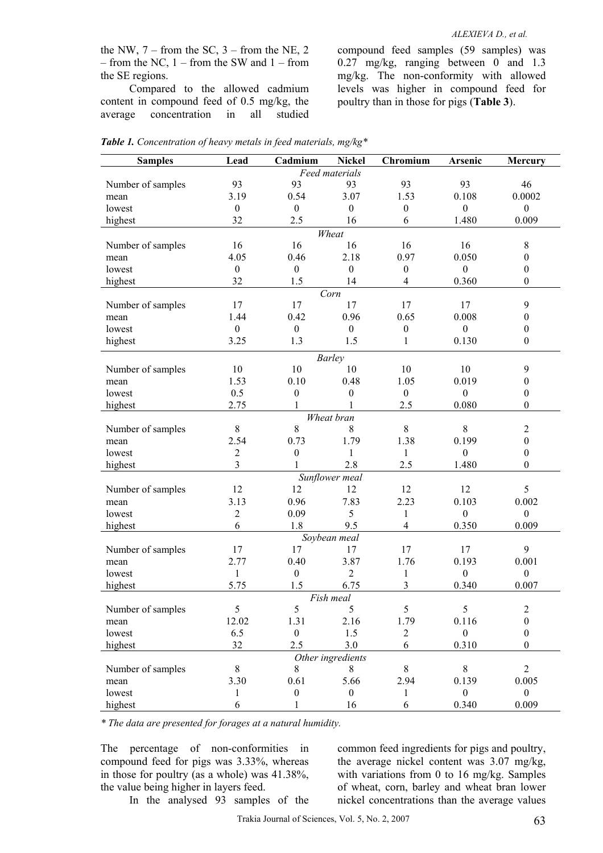the NW,  $7 -$  from the SC,  $3 -$  from the NE, 2 – from the NC, 1 – from the SW and 1 – from the SE regions.

Compared to the allowed cadmium content in compound feed of 0.5 mg/kg, the average concentration in all studied compound feed samples (59 samples) was 0.27 mg/kg, ranging between 0 and 1.3 mg/kg. The non-conformity with allowed levels was higher in compound feed for poultry than in those for pigs (**Table 3**).

| <b>Samples</b>    | Lead             | Cadmium                          | <b>Nickel</b>     | Chromium                | Arsenic          | Mercury          |
|-------------------|------------------|----------------------------------|-------------------|-------------------------|------------------|------------------|
|                   |                  |                                  | Feed materials    |                         |                  |                  |
| Number of samples | 93               | 93                               | 93                | 93                      | 93               | 46               |
| mean              | 3.19             | 0.54                             | 3.07              | 1.53                    | 0.108            | 0.0002           |
| lowest            | $\boldsymbol{0}$ | $\boldsymbol{0}$                 | $\boldsymbol{0}$  | $\boldsymbol{0}$        | $\boldsymbol{0}$ | $\boldsymbol{0}$ |
| highest           | 32               | 2.5                              | 16                | 6                       | 1.480            | 0.009            |
|                   |                  |                                  | Wheat             |                         |                  |                  |
| Number of samples | 16               | 16                               | 16                | 16                      | 16               | $\,8\,$          |
| mean              | 4.05             | 0.46                             | 2.18              | 0.97                    | 0.050            | $\boldsymbol{0}$ |
| lowest            | $\boldsymbol{0}$ | $\boldsymbol{0}$                 | $\boldsymbol{0}$  | $\boldsymbol{0}$        | $\boldsymbol{0}$ | $\boldsymbol{0}$ |
| highest           | 32               | 1.5                              | 14                | $\overline{4}$          | 0.360            | $\boldsymbol{0}$ |
| Corn              |                  |                                  |                   |                         |                  |                  |
| Number of samples | 17               | 17                               | 17                | 17                      | 17               | $\mathbf{9}$     |
| mean              | 1.44             | 0.42                             | 0.96              | 0.65                    | 0.008            | $\boldsymbol{0}$ |
| lowest            | $\boldsymbol{0}$ | $\boldsymbol{0}$                 | $\boldsymbol{0}$  | $\boldsymbol{0}$        | $\boldsymbol{0}$ | $\boldsymbol{0}$ |
| highest           | 3.25             | 1.3                              | 1.5               | $\mathbf{1}$            | 0.130            | $\boldsymbol{0}$ |
|                   |                  |                                  | <b>Barley</b>     |                         |                  |                  |
| Number of samples | 10               | 10                               | 10                | 10                      | 10               | 9                |
| mean              | 1.53             | 0.10                             | 0.48              | 1.05                    | 0.019            | $\boldsymbol{0}$ |
| lowest            | 0.5              | $\boldsymbol{0}$                 | $\boldsymbol{0}$  | $\boldsymbol{0}$        | $\boldsymbol{0}$ | $\boldsymbol{0}$ |
| highest           | 2.75             | 1                                |                   | 2.5                     | 0.080            | $\boldsymbol{0}$ |
|                   |                  |                                  | Wheat bran        |                         |                  |                  |
| Number of samples | $\,8\,$          | 8                                | 8                 | $\,8\,$                 | $8\,$            | $\overline{2}$   |
| mean              | 2.54             | 0.73                             | 1.79              | 1.38                    | 0.199            | $\boldsymbol{0}$ |
| lowest            | $\boldsymbol{2}$ | $\boldsymbol{0}$                 | $\mathbf{1}$      | $\mathbf{1}$            | $\boldsymbol{0}$ | $\boldsymbol{0}$ |
| highest           | $\overline{3}$   | 1                                | 2.8               | 2.5                     | 1.480            | $\boldsymbol{0}$ |
| Sunflower meal    |                  |                                  |                   |                         |                  |                  |
| Number of samples | 12               | 12                               | 12                | 12                      | 12               | 5                |
| mean              | 3.13             | 0.96                             | 7.83              | 2.23                    | 0.103            | 0.002            |
| lowest            | $\boldsymbol{2}$ | 0.09                             | 5                 | $\mathbf{1}$            | $\boldsymbol{0}$ | $\boldsymbol{0}$ |
| highest           | 6                | 1.8                              | 9.5               | $\overline{4}$          | 0.350            | 0.009            |
|                   |                  |                                  | Soybean meal      |                         |                  |                  |
| Number of samples | 17               | 17                               | 17                | 17                      | 17               | 9                |
| mean              | 2.77             | 0.40                             | 3.87              | 1.76                    | 0.193            | 0.001            |
| lowest            | $\mathbf{1}$     | $\boldsymbol{0}$                 | $\overline{2}$    | $\mathbf{1}$            | $\boldsymbol{0}$ | $\boldsymbol{0}$ |
| highest           | 5.75             | 1.5                              | 6.75              | $\overline{\mathbf{3}}$ | 0.340            | 0.007            |
|                   |                  |                                  | Fish meal         |                         |                  |                  |
| Number of samples | 5                | 5                                | 5                 | 5                       | 5                | $\boldsymbol{2}$ |
| mean              | 12.02            | 1.31                             | 2.16              | 1.79                    | 0.116            | $\boldsymbol{0}$ |
| lowest            | 6.5              | $\mathbf{0}$                     | 1.5               | $\mathbf{2}$            | $\boldsymbol{0}$ | $\boldsymbol{0}$ |
|                   | 32               | 2.5                              | 3.0               | 6                       | 0.310            | $\theta$         |
| highest           |                  |                                  | Other ingredients |                         |                  |                  |
| Number of samples | $8\,$            | 8                                | 8                 | $8\,$                   | $8\,$            | $\overline{2}$   |
|                   | 3.30             | 0.61                             | 5.66              | 2.94                    | 0.139            | 0.005            |
| mean              |                  |                                  |                   |                         |                  |                  |
| lowest            | 1                | $\boldsymbol{0}$<br>$\mathbf{1}$ | $\boldsymbol{0}$  | $\mathbf{1}$            | $\mathbf{0}$     | $\overline{0}$   |
| highest           | 6                |                                  | 16                | 6                       | 0.340            | 0.009            |

*Table 1. Concentration of heavy metals in feed materials, mg/kg\** 

*\* The data are presented for forages at a natural humidity.* 

The percentage of non-conformities in compound feed for pigs was 3.33%, whereas in those for poultry (as a whole) was 41.38%, the value being higher in layers feed. In the analysed 93 samples of the common feed ingredients for pigs and poultry, the average nickel content was 3.07 mg/kg, with variations from 0 to 16 mg/kg. Samples of wheat, corn, barley and wheat bran lower nickel concentrations than the average values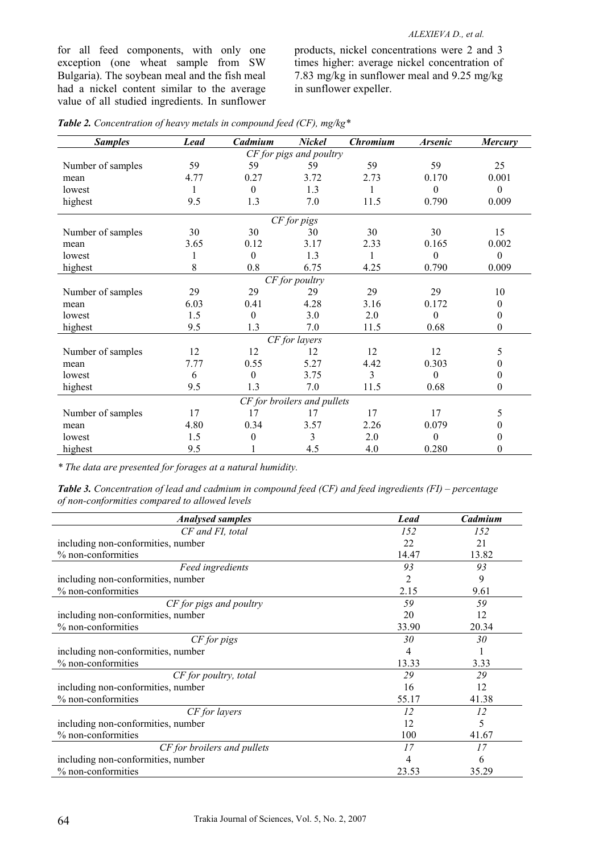#### *ALEXIEVA D., et al.*

for all feed components, with only one exception (one wheat sample from SW Bulgaria). The soybean meal and the fish meal had a nickel content similar to the average value of all studied ingredients. In sunflower products, nickel concentrations were 2 and 3 times higher: average nickel concentration of 7.83 mg/kg in sunflower meal and 9.25 mg/kg in sunflower expeller.

| <b>Samples</b>              | <b>Lead</b> | Cadmium          | <b>Nickel</b>           | <b>Chromium</b> | <b>Arsenic</b> | <b>Mercury</b>   |
|-----------------------------|-------------|------------------|-------------------------|-----------------|----------------|------------------|
|                             |             |                  | CF for pigs and poultry |                 |                |                  |
| Number of samples           | 59          | 59               | 59                      | 59              | 59             | 25               |
| mean                        | 4.77        | 0.27             | 3.72                    | 2.73            | 0.170          | 0.001            |
| lowest                      |             | $\theta$         | 1.3                     |                 | $\theta$       | $\theta$         |
| highest                     | 9.5         | 1.3              | 7.0                     | 11.5            | 0.790          | 0.009            |
| CF for pigs                 |             |                  |                         |                 |                |                  |
| Number of samples           | 30          | 30               | 30                      | 30              | 30             | 15               |
| mean                        | 3.65        | 0.12             | 3.17                    | 2.33            | 0.165          | 0.002            |
| lowest                      |             | $\theta$         | 1.3                     | 1               | $\theta$       | $\theta$         |
| highest                     | 8           | 0.8              | 6.75                    | 4.25            | 0.790          | 0.009            |
|                             |             |                  | CF for poultry          |                 |                |                  |
| Number of samples           | 29          | 29               | 29                      | 29              | 29             | 10               |
| mean                        | 6.03        | 0.41             | 4.28                    | 3.16            | 0.172          | $\mathbf{0}$     |
| lowest                      | 1.5         | $\theta$         | 3.0                     | 2.0             | $\theta$       | $\mathbf{0}$     |
| highest                     | 9.5         | 1.3              | 7.0                     | 11.5            | 0.68           | $\boldsymbol{0}$ |
| CF for layers               |             |                  |                         |                 |                |                  |
| Number of samples           | 12          | 12               | 12                      | 12              | 12             | 5                |
| mean                        | 7.77        | 0.55             | 5.27                    | 4.42            | 0.303          | 0                |
| lowest                      | 6           | $\theta$         | 3.75                    | 3               | $\theta$       | 0                |
| highest                     | 9.5         | 1.3              | 7.0                     | 11.5            | 0.68           | $\boldsymbol{0}$ |
| CF for broilers and pullets |             |                  |                         |                 |                |                  |
| Number of samples           | 17          | 17               | 17                      | 17              | 17             | 5                |
| mean                        | 4.80        | 0.34             | 3.57                    | 2.26            | 0.079          | 0                |
| lowest                      | 1.5         | $\boldsymbol{0}$ | 3                       | 2.0             | $\theta$       | 0                |
| highest                     | 9.5         |                  | 4.5                     | 4.0             | 0.280          | 0                |

| <b>Table 2.</b> Concentration of heavy metals in compound feed (CF), mg/kg* |  |  |
|-----------------------------------------------------------------------------|--|--|
|                                                                             |  |  |

*\* The data are presented for forages at a natural humidity.* 

*Table 3. Concentration of lead and cadmium in compound feed (CF) and feed ingredients (FI) – percentage of non-conformities compared to allowed levels* 

| <b>Analysed samples</b>            | <b>Lead</b> | Cadmium |
|------------------------------------|-------------|---------|
| CF and FI, total                   | 152         | 152     |
| including non-conformities, number | 22          | 21      |
| % non-conformities                 | 14.47       | 13.82   |
| Feed ingredients                   | 93          | 93      |
| including non-conformities, number | 2           | 9       |
| % non-conformities                 | 2.15        | 9.61    |
| CF for pigs and poultry            | 59          | 59      |
| including non-conformities, number | 20          | 12      |
| % non-conformities                 | 33.90       | 20.34   |
| CF for pigs                        | 30          | 30      |
| including non-conformities, number | 4           |         |
| % non-conformities                 | 13.33       | 3.33    |
| CF for poultry, total              | 29          | 29      |
| including non-conformities, number | 16          | 12      |
| % non-conformities                 | 55.17       | 41.38   |
| CF for layers                      | 12          | 12      |
| including non-conformities, number | 12          | 5       |
| % non-conformities                 | 100         | 41.67   |
| CF for broilers and pullets        | 17          | 17      |
| including non-conformities, number | 4           | 6       |
| % non-conformities                 | 23.53       | 35.29   |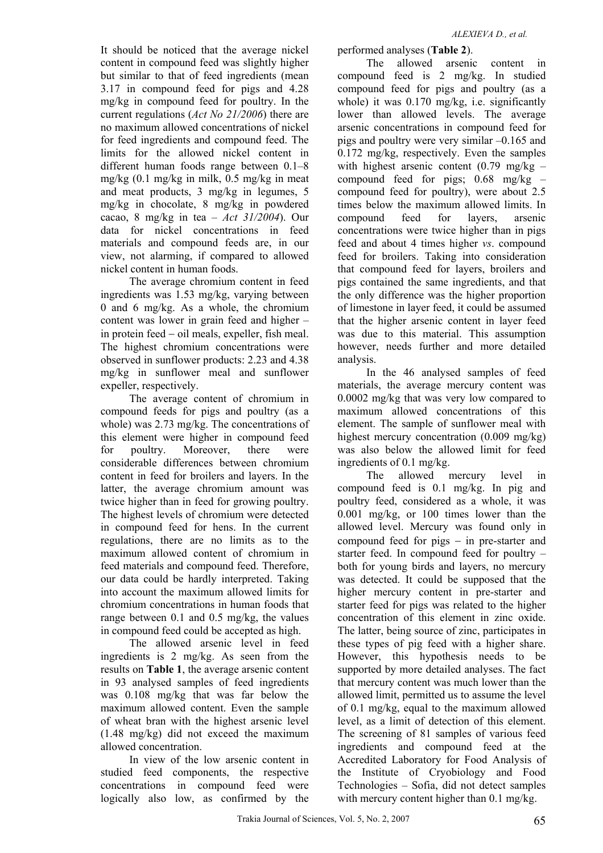It should be noticed that the average nickel content in compound feed was slightly higher but similar to that of feed ingredients (mean 3.17 in compound feed for pigs and 4.28 mg/kg in compound feed for poultry. In the current regulations (*Act No 21/2006*) there are no maximum allowed concentrations of nickel for feed ingredients and compound feed. The limits for the allowed nickel content in different human foods range between 0.1–8 mg/kg (0.1 mg/kg in milk, 0.5 mg/kg in meat and meat products, 3 mg/kg in legumes, 5 mg/kg in chocolate, 8 mg/kg in powdered cacao, 8 mg/kg in tea – *Act 31/2004*). Our data for nickel concentrations in feed materials and compound feeds are, in our view, not alarming, if compared to allowed nickel content in human foods.

The average chromium content in feed ingredients was 1.53 mg/kg, varying between 0 and 6 mg/kg. As a whole, the chromium content was lower in grain feed and higher – in protein feed − oil meals, expeller, fish meal. The highest chromium concentrations were observed in sunflower products: 2.23 and 4.38 mg/kg in sunflower meal and sunflower expeller, respectively.

The average content of chromium in compound feeds for pigs and poultry (as a whole) was 2.73 mg/kg. The concentrations of this element were higher in compound feed for poultry. Moreover, there were considerable differences between chromium content in feed for broilers and layers. In the latter, the average chromium amount was twice higher than in feed for growing poultry. The highest levels of chromium were detected in compound feed for hens. In the current regulations, there are no limits as to the maximum allowed content of chromium in feed materials and compound feed. Therefore, our data could be hardly interpreted. Taking into account the maximum allowed limits for chromium concentrations in human foods that range between 0.1 and 0.5 mg/kg, the values in compound feed could be accepted as high.

The allowed arsenic level in feed ingredients is 2 mg/kg. As seen from the results on **Table 1**, the average arsenic content in 93 analysed samples of feed ingredients was 0.108 mg/kg that was far below the maximum allowed content. Even the sample of wheat bran with the highest arsenic level (1.48 mg/kg) did not exceed the maximum allowed concentration.

In view of the low arsenic content in studied feed components, the respective concentrations in compound feed were logically also low, as confirmed by the

performed analyses (**Table 2**).

The allowed arsenic content in compound feed is 2 mg/kg. In studied compound feed for pigs and poultry (as a whole) it was 0.170 mg/kg, i.e. significantly lower than allowed levels. The average arsenic concentrations in compound feed for pigs and poultry were very similar –0.165 and 0.172 mg/kg, respectively. Even the samples with highest arsenic content  $(0.79 \text{ mg/kg}$ compound feed for pigs:  $0.68$  mg/kg – compound feed for poultry), were about 2.5 times below the maximum allowed limits. In compound feed for layers arsenic concentrations were twice higher than in pigs feed and about 4 times higher *vs*. compound feed for broilers. Taking into consideration that compound feed for layers, broilers and pigs contained the same ingredients, and that the only difference was the higher proportion of limestone in layer feed, it could be assumed that the higher arsenic content in layer feed was due to this material. This assumption however, needs further and more detailed analysis.

In the 46 analysed samples of feed materials, the average mercury content was 0.0002 mg/kg that was very low compared to maximum allowed concentrations of this element. The sample of sunflower meal with highest mercury concentration (0.009 mg/kg) was also below the allowed limit for feed ingredients of 0.1 mg/kg.

The allowed mercury level in compound feed is 0.1 mg/kg. In pig and poultry feed, considered as a whole, it was 0.001 mg/kg, or 100 times lower than the allowed level. Mercury was found only in compound feed for pigs − in pre-starter and starter feed. In compound feed for poultry – both for young birds and layers, no mercury was detected. It could be supposed that the higher mercury content in pre-starter and starter feed for pigs was related to the higher concentration of this element in zinc oxide. The latter, being source of zinc, participates in these types of pig feed with a higher share. However, this hypothesis needs to be supported by more detailed analyses. The fact that mercury content was much lower than the allowed limit, permitted us to assume the level of 0.1 mg/kg, equal to the maximum allowed level, as a limit of detection of this element. The screening of 81 samples of various feed ingredients and compound feed at the Accredited Laboratory for Food Analysis of the Institute of Cryobiology and Food Technologies – Sofia, did not detect samples with mercury content higher than 0.1 mg/kg.